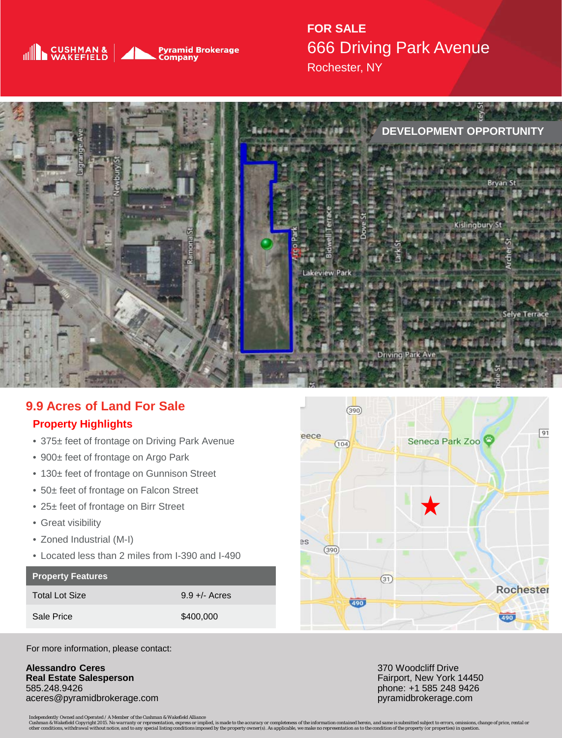

**FOR SALE** 666 Driving Park Avenue Rochester, NY



## **9.9 Acres of Land For Sale Property Highlights**

- 375± feet of frontage on Driving Park Avenue
- 900± feet of frontage on Argo Park
- 130± feet of frontage on Gunnison Street
- 50± feet of frontage on Falcon Street
- 25± feet of frontage on Birr Street
- Great visibility
- Zoned Industrial (M-I)
- Located less than 2 miles from I-390 and I-490

## **Property Features**

Total Lot Size 9.9 +/- Acres Sale Price \$400,000



For more information, please contact:

**Alessandro Ceres Real Estate Salesperson** 585.248.9426 aceres@pyramidbrokerage.com 370 Woodcliff Drive Fairport, New York 14450 phone: +1 585 248 9426 pyramidbrokerage.com

*Independently Owned and Operated / A Member of the Cushman & Wakefield Alliance*

Cushman & Wakefield Copyright 2015. No warranty or representation, express or implied, is made to the accuracy or completenes of the information contained herein, and same is submitted subject to errors, omissions, change